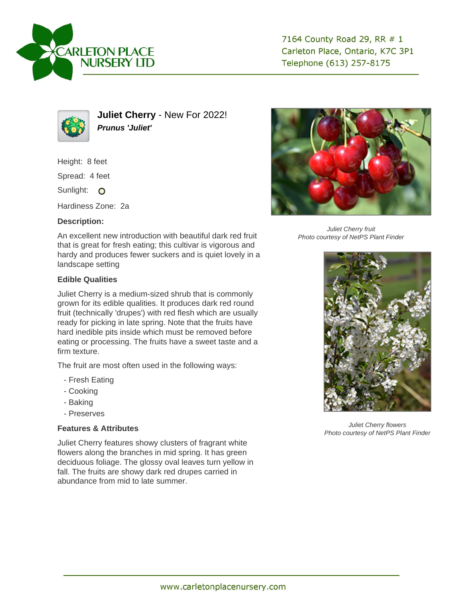



**Juliet Cherry** - New For 2022! **Prunus 'Juliet'**

Height: 8 feet Spread: 4 feet Sunlight: O Hardiness Zone: 2a

## **Description:**

An excellent new introduction with beautiful dark red fruit that is great for fresh eating; this cultivar is vigorous and hardy and produces fewer suckers and is quiet lovely in a landscape setting

## **Edible Qualities**

Juliet Cherry is a medium-sized shrub that is commonly grown for its edible qualities. It produces dark red round fruit (technically 'drupes') with red flesh which are usually ready for picking in late spring. Note that the fruits have hard inedible pits inside which must be removed before eating or processing. The fruits have a sweet taste and a firm texture.

The fruit are most often used in the following ways:

- Fresh Eating
- Cooking
- Baking
- Preserves

## **Features & Attributes**

Juliet Cherry features showy clusters of fragrant white flowers along the branches in mid spring. It has green deciduous foliage. The glossy oval leaves turn yellow in fall. The fruits are showy dark red drupes carried in abundance from mid to late summer.



Juliet Cherry fruit Photo courtesy of NetPS Plant Finder



Juliet Cherry flowers Photo courtesy of NetPS Plant Finder